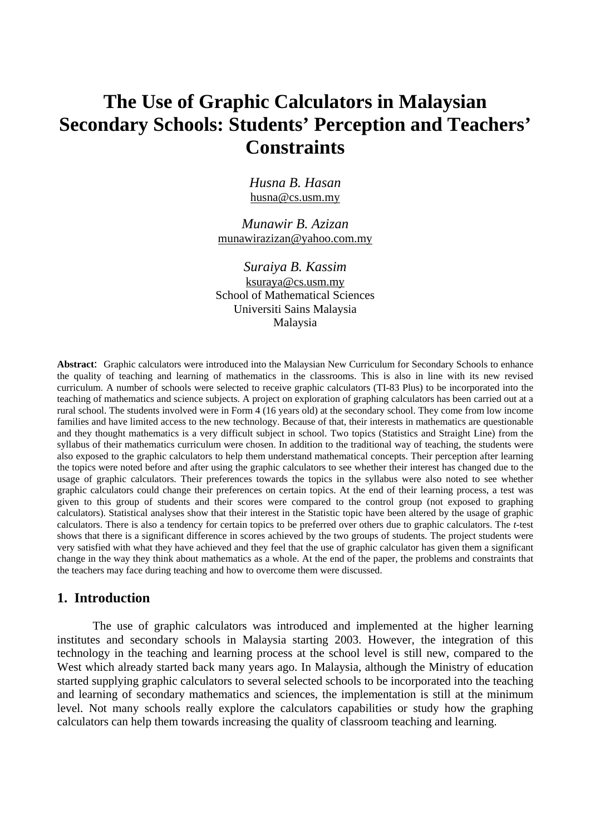# **The Use of Graphic Calculators in Malaysian Secondary Schools: Students' Perception and Teachers' Constraints**

*Husna B. Hasan*  husna@cs.usm.my

*Munawir B. Azizan*  munawirazizan@yahoo.com.my

*Suraiya B. Kassim*  ksuraya@cs.usm.my School of Mathematical Sciences Universiti Sains Malaysia Malaysia

**Abstract**: Graphic calculators were introduced into the Malaysian New Curriculum for Secondary Schools to enhance the quality of teaching and learning of mathematics in the classrooms. This is also in line with its new revised curriculum. A number of schools were selected to receive graphic calculators (TI-83 Plus) to be incorporated into the teaching of mathematics and science subjects. A project on exploration of graphing calculators has been carried out at a rural school. The students involved were in Form 4 (16 years old) at the secondary school. They come from low income families and have limited access to the new technology. Because of that, their interests in mathematics are questionable and they thought mathematics is a very difficult subject in school. Two topics (Statistics and Straight Line) from the syllabus of their mathematics curriculum were chosen. In addition to the traditional way of teaching, the students were also exposed to the graphic calculators to help them understand mathematical concepts. Their perception after learning the topics were noted before and after using the graphic calculators to see whether their interest has changed due to the usage of graphic calculators. Their preferences towards the topics in the syllabus were also noted to see whether graphic calculators could change their preferences on certain topics. At the end of their learning process, a test was given to this group of students and their scores were compared to the control group (not exposed to graphing calculators). Statistical analyses show that their interest in the Statistic topic have been altered by the usage of graphic calculators. There is also a tendency for certain topics to be preferred over others due to graphic calculators. The *t*-test shows that there is a significant difference in scores achieved by the two groups of students. The project students were very satisfied with what they have achieved and they feel that the use of graphic calculator has given them a significant change in the way they think about mathematics as a whole. At the end of the paper, the problems and constraints that the teachers may face during teaching and how to overcome them were discussed.

# **1. Introduction**

The use of graphic calculators was introduced and implemented at the higher learning institutes and secondary schools in Malaysia starting 2003. However, the integration of this technology in the teaching and learning process at the school level is still new, compared to the West which already started back many years ago. In Malaysia, although the Ministry of education started supplying graphic calculators to several selected schools to be incorporated into the teaching and learning of secondary mathematics and sciences, the implementation is still at the minimum level. Not many schools really explore the calculators capabilities or study how the graphing calculators can help them towards increasing the quality of classroom teaching and learning.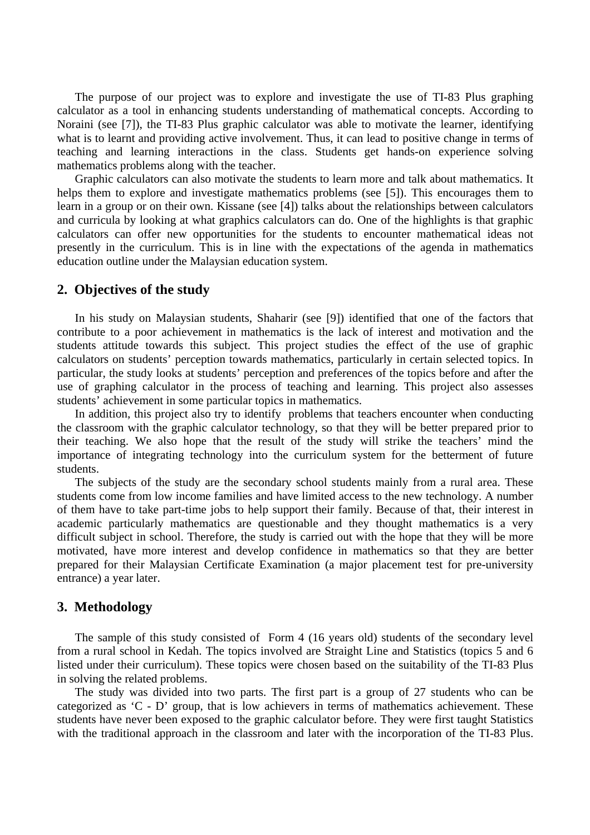The purpose of our project was to explore and investigate the use of TI-83 Plus graphing calculator as a tool in enhancing students understanding of mathematical concepts. According to Noraini (see [7]), the TI-83 Plus graphic calculator was able to motivate the learner, identifying what is to learnt and providing active involvement. Thus, it can lead to positive change in terms of teaching and learning interactions in the class. Students get hands-on experience solving mathematics problems along with the teacher.

Graphic calculators can also motivate the students to learn more and talk about mathematics. It helps them to explore and investigate mathematics problems (see [5]). This encourages them to learn in a group or on their own. Kissane (see [4]) talks about the relationships between calculators and curricula by looking at what graphics calculators can do. One of the highlights is that graphic calculators can offer new opportunities for the students to encounter mathematical ideas not presently in the curriculum. This is in line with the expectations of the agenda in mathematics education outline under the Malaysian education system.

### **2. Objectives of the study**

In his study on Malaysian students, Shaharir (see [9]) identified that one of the factors that contribute to a poor achievement in mathematics is the lack of interest and motivation and the students attitude towards this subject. This project studies the effect of the use of graphic calculators on students' perception towards mathematics, particularly in certain selected topics. In particular, the study looks at students' perception and preferences of the topics before and after the use of graphing calculator in the process of teaching and learning. This project also assesses students' achievement in some particular topics in mathematics.

In addition, this project also try to identify problems that teachers encounter when conducting the classroom with the graphic calculator technology, so that they will be better prepared prior to their teaching. We also hope that the result of the study will strike the teachers' mind the importance of integrating technology into the curriculum system for the betterment of future students.

The subjects of the study are the secondary school students mainly from a rural area. These students come from low income families and have limited access to the new technology. A number of them have to take part-time jobs to help support their family. Because of that, their interest in academic particularly mathematics are questionable and they thought mathematics is a very difficult subject in school. Therefore, the study is carried out with the hope that they will be more motivated, have more interest and develop confidence in mathematics so that they are better prepared for their Malaysian Certificate Examination (a major placement test for pre-university entrance) a year later.

#### **3. Methodology**

The sample of this study consisted of Form 4 (16 years old) students of the secondary level from a rural school in Kedah. The topics involved are Straight Line and Statistics (topics 5 and 6 listed under their curriculum). These topics were chosen based on the suitability of the TI-83 Plus in solving the related problems.

The study was divided into two parts. The first part is a group of 27 students who can be categorized as 'C - D' group, that is low achievers in terms of mathematics achievement. These students have never been exposed to the graphic calculator before. They were first taught Statistics with the traditional approach in the classroom and later with the incorporation of the TI-83 Plus.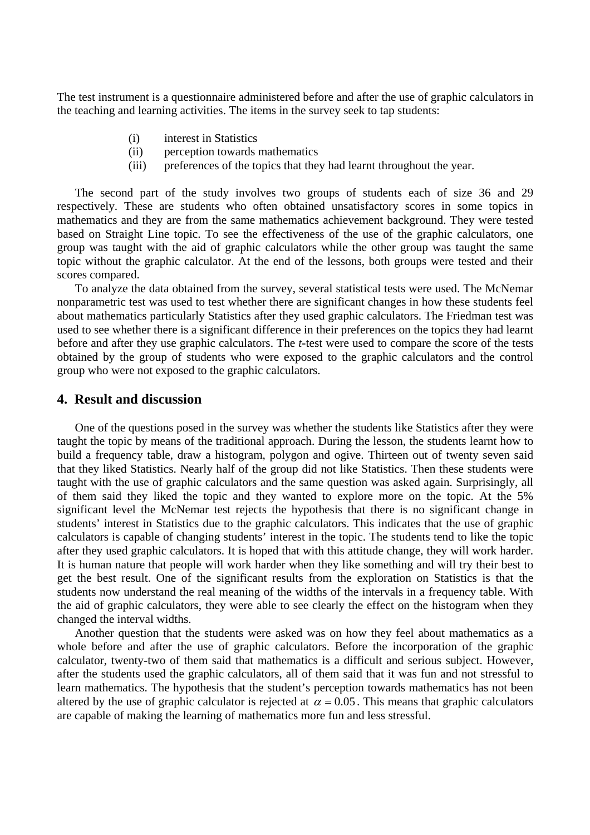The test instrument is a questionnaire administered before and after the use of graphic calculators in the teaching and learning activities. The items in the survey seek to tap students:

- (i) interest in Statistics
- (ii) perception towards mathematics
- (iii) preferences of the topics that they had learnt throughout the year.

The second part of the study involves two groups of students each of size 36 and 29 respectively. These are students who often obtained unsatisfactory scores in some topics in mathematics and they are from the same mathematics achievement background. They were tested based on Straight Line topic. To see the effectiveness of the use of the graphic calculators, one group was taught with the aid of graphic calculators while the other group was taught the same topic without the graphic calculator. At the end of the lessons, both groups were tested and their scores compared.

To analyze the data obtained from the survey, several statistical tests were used. The McNemar nonparametric test was used to test whether there are significant changes in how these students feel about mathematics particularly Statistics after they used graphic calculators. The Friedman test was used to see whether there is a significant difference in their preferences on the topics they had learnt before and after they use graphic calculators. The *t*-test were used to compare the score of the tests obtained by the group of students who were exposed to the graphic calculators and the control group who were not exposed to the graphic calculators.

## **4. Result and discussion**

One of the questions posed in the survey was whether the students like Statistics after they were taught the topic by means of the traditional approach. During the lesson, the students learnt how to build a frequency table, draw a histogram, polygon and ogive. Thirteen out of twenty seven said that they liked Statistics. Nearly half of the group did not like Statistics. Then these students were taught with the use of graphic calculators and the same question was asked again. Surprisingly, all of them said they liked the topic and they wanted to explore more on the topic. At the 5% significant level the McNemar test rejects the hypothesis that there is no significant change in students' interest in Statistics due to the graphic calculators. This indicates that the use of graphic calculators is capable of changing students' interest in the topic. The students tend to like the topic after they used graphic calculators. It is hoped that with this attitude change, they will work harder. It is human nature that people will work harder when they like something and will try their best to get the best result. One of the significant results from the exploration on Statistics is that the students now understand the real meaning of the widths of the intervals in a frequency table. With the aid of graphic calculators, they were able to see clearly the effect on the histogram when they changed the interval widths.

Another question that the students were asked was on how they feel about mathematics as a whole before and after the use of graphic calculators. Before the incorporation of the graphic calculator, twenty-two of them said that mathematics is a difficult and serious subject. However, after the students used the graphic calculators, all of them said that it was fun and not stressful to learn mathematics. The hypothesis that the student's perception towards mathematics has not been altered by the use of graphic calculator is rejected at  $\alpha = 0.05$ . This means that graphic calculators are capable of making the learning of mathematics more fun and less stressful.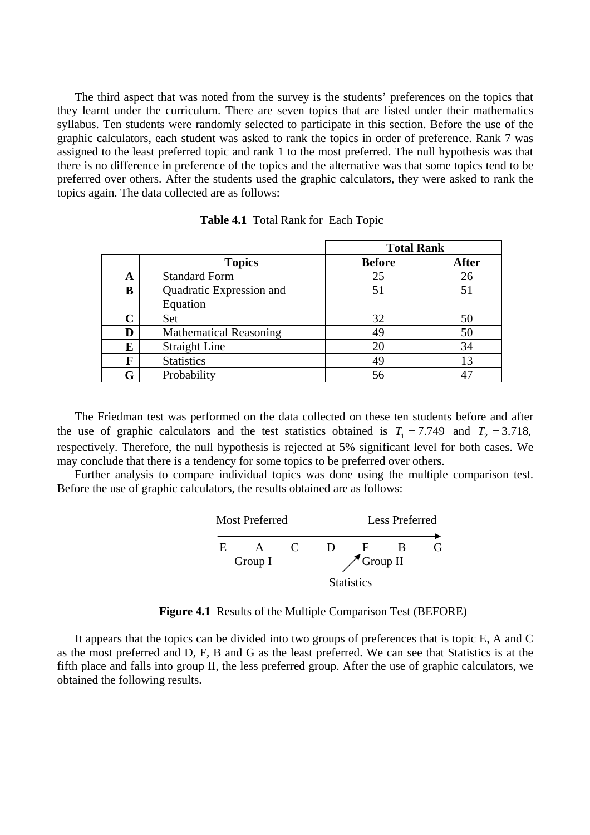The third aspect that was noted from the survey is the students' preferences on the topics that they learnt under the curriculum. There are seven topics that are listed under their mathematics syllabus. Ten students were randomly selected to participate in this section. Before the use of the graphic calculators, each student was asked to rank the topics in order of preference. Rank 7 was assigned to the least preferred topic and rank 1 to the most preferred. The null hypothesis was that there is no difference in preference of the topics and the alternative was that some topics tend to be preferred over others. After the students used the graphic calculators, they were asked to rank the topics again. The data collected are as follows:

|             |                               | <b>Total Rank</b> |              |
|-------------|-------------------------------|-------------------|--------------|
|             | <b>Topics</b>                 | <b>Before</b>     | <b>After</b> |
| A           | <b>Standard Form</b>          | 25                | 26           |
| B           | Quadratic Expression and      | 51                | 51           |
|             | Equation                      |                   |              |
| $\mathbf C$ | Set                           | 32                | 50           |
| D           | <b>Mathematical Reasoning</b> | 49                | 50           |
| E           | <b>Straight Line</b>          | 20                | 34           |
| F           | <b>Statistics</b>             | 49                | 13           |
| G           | Probability                   | 56                |              |

**Table 4.1** Total Rank for Each Topic

The Friedman test was performed on the data collected on these ten students before and after the use of graphic calculators and the test statistics obtained is  $T_1 = 7.749$  and  $T_2 = 3.718$ , respectively. Therefore, the null hypothesis is rejected at 5% significant level for both cases. We may conclude that there is a tendency for some topics to be preferred over others.

Further analysis to compare individual topics was done using the multiple comparison test. Before the use of graphic calculators, the results obtained are as follows:



**Figure 4.1** Results of the Multiple Comparison Test (BEFORE)

It appears that the topics can be divided into two groups of preferences that is topic E, A and C as the most preferred and D, F, B and G as the least preferred. We can see that Statistics is at the fifth place and falls into group II, the less preferred group. After the use of graphic calculators, we obtained the following results.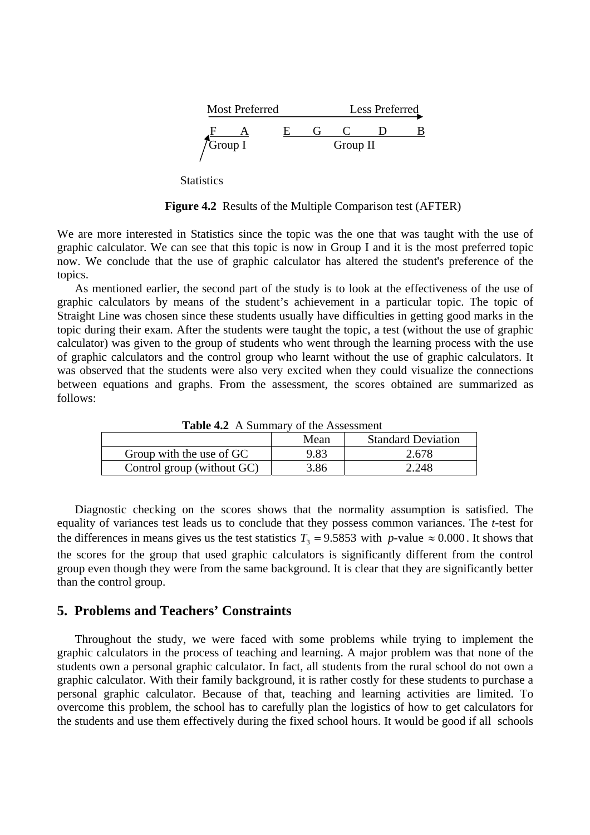

**Statistics** 

**Figure 4.2** Results of the Multiple Comparison test (AFTER)

We are more interested in Statistics since the topic was the one that was taught with the use of graphic calculator. We can see that this topic is now in Group I and it is the most preferred topic now. We conclude that the use of graphic calculator has altered the student's preference of the topics.

As mentioned earlier, the second part of the study is to look at the effectiveness of the use of graphic calculators by means of the student's achievement in a particular topic. The topic of Straight Line was chosen since these students usually have difficulties in getting good marks in the topic during their exam. After the students were taught the topic, a test (without the use of graphic calculator) was given to the group of students who went through the learning process with the use of graphic calculators and the control group who learnt without the use of graphic calculators. It was observed that the students were also very excited when they could visualize the connections between equations and graphs. From the assessment, the scores obtained are summarized as follows:

| $\sigma$                   |      |                           |  |  |
|----------------------------|------|---------------------------|--|--|
|                            | Mean | <b>Standard Deviation</b> |  |  |
| Group with the use of GC   | 9.83 | 2.678                     |  |  |
| Control group (without GC) | 3.86 | 2.248                     |  |  |

Table 4.2. A Summary of the Assessment

Diagnostic checking on the scores shows that the normality assumption is satisfied. The equality of variances test leads us to conclude that they possess common variances. The *t*-test for the differences in means gives us the test statistics  $T_3 = 9.5853$  with *p*-value  $\approx 0.000$ . It shows that the scores for the group that used graphic calculators is significantly different from the control group even though they were from the same background. It is clear that they are significantly better than the control group.

# **5. Problems and Teachers' Constraints**

Throughout the study, we were faced with some problems while trying to implement the graphic calculators in the process of teaching and learning. A major problem was that none of the students own a personal graphic calculator. In fact, all students from the rural school do not own a graphic calculator. With their family background, it is rather costly for these students to purchase a personal graphic calculator. Because of that, teaching and learning activities are limited. To overcome this problem, the school has to carefully plan the logistics of how to get calculators for the students and use them effectively during the fixed school hours. It would be good if all schools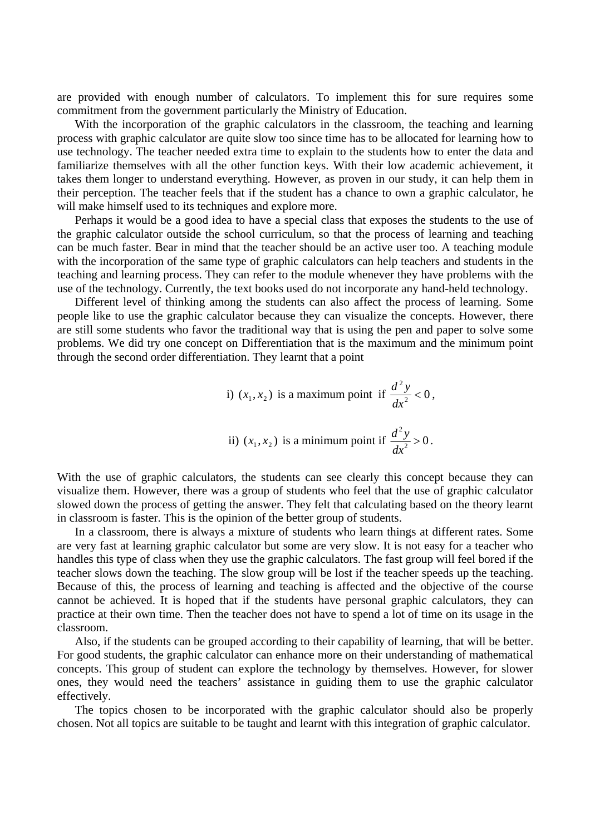are provided with enough number of calculators. To implement this for sure requires some commitment from the government particularly the Ministry of Education.

With the incorporation of the graphic calculators in the classroom, the teaching and learning process with graphic calculator are quite slow too since time has to be allocated for learning how to use technology. The teacher needed extra time to explain to the students how to enter the data and familiarize themselves with all the other function keys. With their low academic achievement, it takes them longer to understand everything. However, as proven in our study, it can help them in their perception. The teacher feels that if the student has a chance to own a graphic calculator, he will make himself used to its techniques and explore more.

Perhaps it would be a good idea to have a special class that exposes the students to the use of the graphic calculator outside the school curriculum, so that the process of learning and teaching can be much faster. Bear in mind that the teacher should be an active user too. A teaching module with the incorporation of the same type of graphic calculators can help teachers and students in the teaching and learning process. They can refer to the module whenever they have problems with the use of the technology. Currently, the text books used do not incorporate any hand-held technology.

Different level of thinking among the students can also affect the process of learning. Some people like to use the graphic calculator because they can visualize the concepts. However, there are still some students who favor the traditional way that is using the pen and paper to solve some problems. We did try one concept on Differentiation that is the maximum and the minimum point through the second order differentiation. They learnt that a point

\n- i) 
$$
(x_1, x_2)
$$
 is a maximum point if  $\frac{d^2y}{dx^2} < 0$ ,
\n- ii)  $(x_1, x_2)$  is a minimum point if  $\frac{d^2y}{dx^2} > 0$ .
\n

With the use of graphic calculators, the students can see clearly this concept because they can visualize them. However, there was a group of students who feel that the use of graphic calculator slowed down the process of getting the answer. They felt that calculating based on the theory learnt in classroom is faster. This is the opinion of the better group of students.

In a classroom, there is always a mixture of students who learn things at different rates. Some are very fast at learning graphic calculator but some are very slow. It is not easy for a teacher who handles this type of class when they use the graphic calculators. The fast group will feel bored if the teacher slows down the teaching. The slow group will be lost if the teacher speeds up the teaching. Because of this, the process of learning and teaching is affected and the objective of the course cannot be achieved. It is hoped that if the students have personal graphic calculators, they can practice at their own time. Then the teacher does not have to spend a lot of time on its usage in the classroom.

Also, if the students can be grouped according to their capability of learning, that will be better. For good students, the graphic calculator can enhance more on their understanding of mathematical concepts. This group of student can explore the technology by themselves. However, for slower ones, they would need the teachers' assistance in guiding them to use the graphic calculator effectively.

The topics chosen to be incorporated with the graphic calculator should also be properly chosen. Not all topics are suitable to be taught and learnt with this integration of graphic calculator.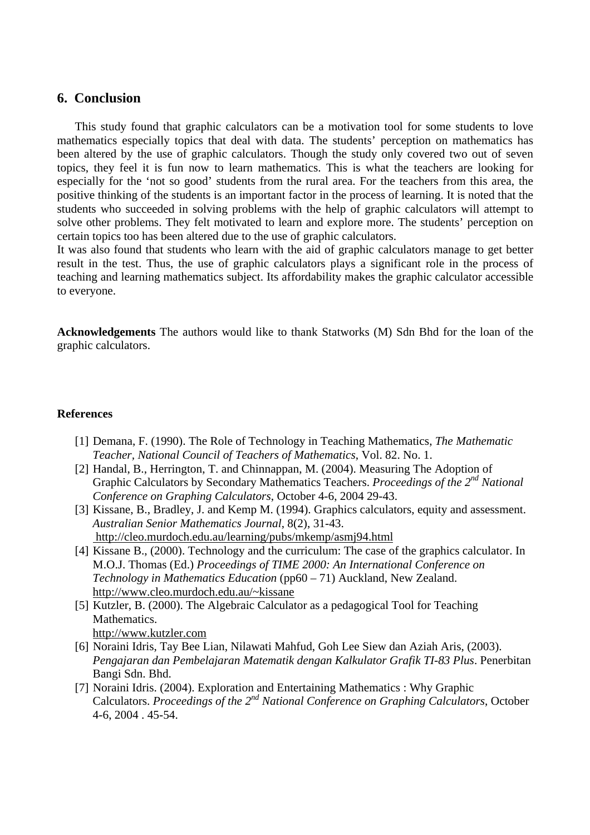## **6. Conclusion**

This study found that graphic calculators can be a motivation tool for some students to love mathematics especially topics that deal with data. The students' perception on mathematics has been altered by the use of graphic calculators. Though the study only covered two out of seven topics, they feel it is fun now to learn mathematics. This is what the teachers are looking for especially for the 'not so good' students from the rural area. For the teachers from this area, the positive thinking of the students is an important factor in the process of learning. It is noted that the students who succeeded in solving problems with the help of graphic calculators will attempt to solve other problems. They felt motivated to learn and explore more. The students' perception on certain topics too has been altered due to the use of graphic calculators.

It was also found that students who learn with the aid of graphic calculators manage to get better result in the test. Thus, the use of graphic calculators plays a significant role in the process of teaching and learning mathematics subject. Its affordability makes the graphic calculator accessible to everyone.

**Acknowledgements** The authors would like to thank Statworks (M) Sdn Bhd for the loan of the graphic calculators.

#### **References**

- [1] Demana, F. (1990). The Role of Technology in Teaching Mathematics, *The Mathematic Teacher, National Council of Teachers of Mathematics*, Vol. 82. No. 1.
- [2] Handal, B., Herrington, T. and Chinnappan, M. (2004). Measuring The Adoption of Graphic Calculators by Secondary Mathematics Teachers. *Proceedings of the 2nd National Conference on Graphing Calculators*, October 4-6, 2004 29-43.
- [3] Kissane, B., Bradley, J. and Kemp M. (1994). Graphics calculators, equity and assessment. *Australian Senior Mathematics Journal*, 8(2), 31-43. http://cleo.murdoch.edu.au/learning/pubs/mkemp/asmj94.html
- [4] Kissane B., (2000). Technology and the curriculum: The case of the graphics calculator. In M.O.J. Thomas (Ed.) *Proceedings of TIME 2000: An International Conference on Technology in Mathematics Education* (pp60 – 71) Auckland, New Zealand. http://www.cleo.murdoch.edu.au/~kissane
- [5] Kutzler, B. (2000). The Algebraic Calculator as a pedagogical Tool for Teaching Mathematics.
- http://www.kutzler.com
- [6] Noraini Idris, Tay Bee Lian, Nilawati Mahfud, Goh Lee Siew dan Aziah Aris, (2003). *Pengajaran dan Pembelajaran Matematik dengan Kalkulator Grafik TI-83 Plus*. Penerbitan Bangi Sdn. Bhd.
- [7] Noraini Idris. (2004). Exploration and Entertaining Mathematics : Why Graphic Calculators. *Proceedings of the 2nd National Conference on Graphing Calculators*, October 4-6, 2004 . 45-54.